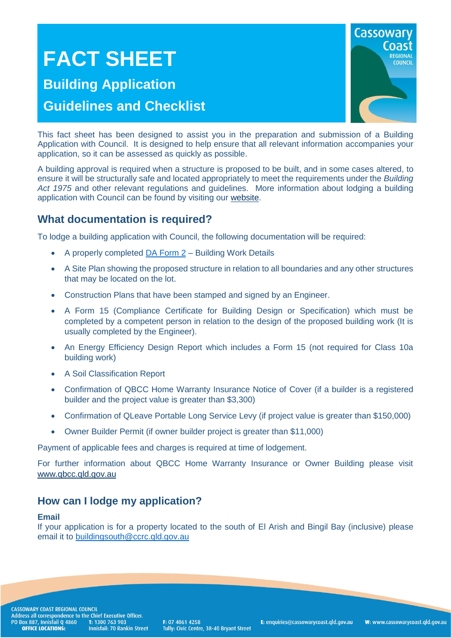# **FACT SHEET**

## **Building Application Guidelines and Checklist**



This fact sheet has been designed to assist you in the preparation and submission of a Building Application with Council. It is designed to help ensure that all relevant information accompanies your application, so it can be assessed as quickly as possible.

A building approval is required when a structure is proposed to be built, and in some cases altered, to ensure it will be structurally safe and located appropriately to meet the requirements under the *Building Act 1975* and other relevant regulations and guidelines. More information about lodging a building application with Council can be found by visiting our [website.](http://www.cassowarycoast.qld.gov.au/lodging-a-building-application)

### **What documentation is required?**

To lodge a building application with Council, the following documentation will be required:

- A properly completed [DA Form 2](https://www.business.qld.gov.au/industries/building-property-development/building-construction/forms-guidelines/forms) Building Work Details
- A Site Plan showing the proposed structure in relation to all boundaries and any other structures that may be located on the lot.
- Construction Plans that have been stamped and signed by an Engineer.
- A Form 15 (Compliance Certificate for Building Design or Specification) which must be completed by a competent person in relation to the design of the proposed building work (It is usually completed by the Engineer).
- An Energy Efficiency Design Report which includes a Form 15 (not required for Class 10a building work)
- A Soil Classification Report
- Confirmation of QBCC Home Warranty Insurance Notice of Cover (if a builder is a registered builder and the project value is greater than \$3,300)
- Confirmation of QLeave Portable Long Service Levy (if project value is greater than \$150,000)
- Owner Builder Permit (if owner builder project is greater than \$11,000)

Payment of applicable fees and charges is required at time of lodgement.

For further information about QBCC Home Warranty Insurance or Owner Building please visit [www.qbcc.qld.gov.au](http://www.qbcc.qld.gov.au/)

#### **How can I lodge my application?**

#### **Email**

If your application is for a property located to the south of El Arish and Bingil Bay (inclusive) please email it to [buildingsouth@ccrc.qld.gov.au](mailto:buildingsouth@ccrc.qld.gov.au)

**CASSOWARY COAST REGIONAL COUNCIL** Exposition Correspondence to the Chief Executive Officer.<br>PO Box 887, Innisfail Q 4860 T: 1300 763 903<br>**OFFICE LOCATIONS:** Innisfail: 70 Rankin Stre **Innisfail: 70 Rankin Street** 

F: 07 4061 4258 Tully: Civic Centre, 38-40 Bryant Street E: enquiries@cassowarycoast.qld.gov.au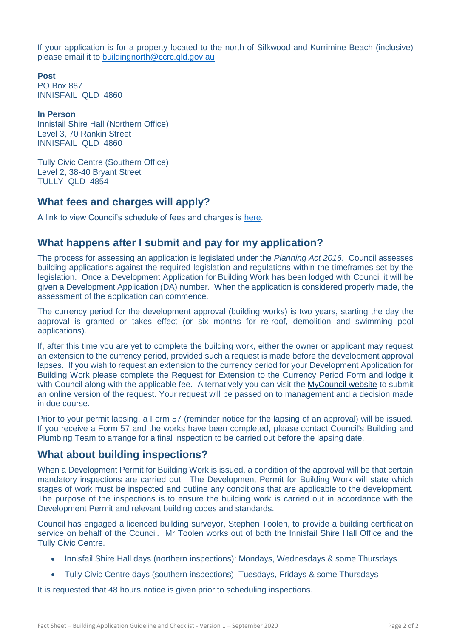If your application is for a property located to the north of Silkwood and Kurrimine Beach (inclusive) please email it to [buildingnorth@ccrc.qld.gov.au](mailto:buildingnorth@ccrc.qld.gov.au)

**Post** PO Box 887 INNISFAIL QLD 4860

**In Person** Innisfail Shire Hall (Northern Office) Level 3, 70 Rankin Street INNISFAIL QLD 4860

Tully Civic Centre (Southern Office) Level 2, 38-40 Bryant Street TULLY QLD 4854

#### **What fees and charges will apply?**

A link to view Council's schedule of fees and charges is [here.](http://www.cassowarycoast.qld.gov.au/fees-and-charges)

### **What happens after I submit and pay for my application?**

The process for assessing an application is legislated under the *Planning Act 2016*. Council assesses building applications against the required legislation and regulations within the timeframes set by the legislation. Once a Development Application for Building Work has been lodged with Council it will be given a Development Application (DA) number. When the application is considered properly made, the assessment of the application can commence.

The currency period for the development approval (building works) is two years, starting the day the approval is granted or takes effect (or six months for re-roof, demolition and swimming pool applications).

If, after this time you are yet to complete the building work, either the owner or applicant may request an extension to the currency period, provided such a request is made before the development approval lapses. If you wish to request an extension to the currency period for your Development Application for Building Work please complete the Request for Extension [to the Currency Period Form](http://www.cassowarycoast.qld.gov.au/documents/1422210/3759637/Request%20for%20Extension%20to%20the%20Currency%20Period.pdf) and lodge it with Council along with the applicable fee. Alternatively you can visit the [MyCouncil website](https://mycouncil.cassowarycoast.qld.gov.au/T1PRProd/WebApps/eProperty/P1/GuestHome.aspx?r=CCRC.WEBGST&f=$P1.EPR.GUESTHME.VIW) to submit an online version of the request. Your request will be passed on to management and a decision made in due course.

Prior to your permit lapsing, a Form 57 (reminder notice for the lapsing of an approval) will be issued. If you receive a Form 57 and the works have been completed, please contact Council's Building and Plumbing Team to arrange for a final inspection to be carried out before the lapsing date.

#### **What about building inspections?**

When a Development Permit for Building Work is issued, a condition of the approval will be that certain mandatory inspections are carried out. The Development Permit for Building Work will state which stages of work must be inspected and outline any conditions that are applicable to the development. The purpose of the inspections is to ensure the building work is carried out in accordance with the Development Permit and relevant building codes and standards.

Council has engaged a licenced building surveyor, Stephen Toolen, to provide a building certification service on behalf of the Council. Mr Toolen works out of both the Innisfail Shire Hall Office and the Tully Civic Centre.

- Innisfail Shire Hall days (northern inspections): Mondays, Wednesdays & some Thursdays
- Tully Civic Centre days (southern inspections): Tuesdays, Fridays & some Thursdays

It is requested that 48 hours notice is given prior to scheduling inspections.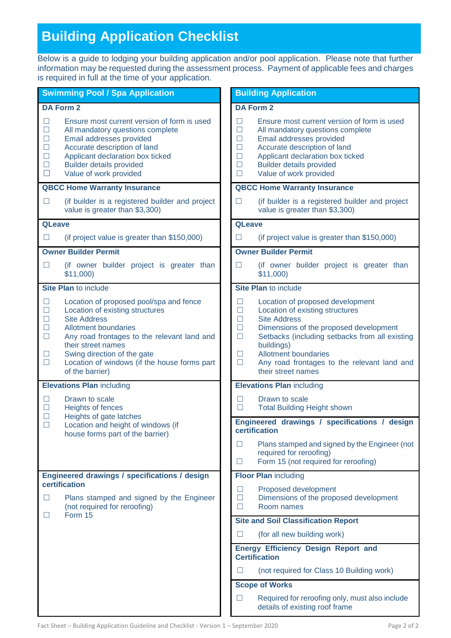## **Building Application Checklist**

Below is a guide to lodging your building application and/or pool application. Please note that further information may be requested during the assessment process. Payment of applicable fees and charges is required in full at the time of your application.

| <b>Swimming Pool / Spa Application</b>                             |                                                                                                                                                                                                                                                                                                         | <b>Building Application</b>                                        |                                                                                                                                                                                                                                                                                                          |  |
|--------------------------------------------------------------------|---------------------------------------------------------------------------------------------------------------------------------------------------------------------------------------------------------------------------------------------------------------------------------------------------------|--------------------------------------------------------------------|----------------------------------------------------------------------------------------------------------------------------------------------------------------------------------------------------------------------------------------------------------------------------------------------------------|--|
| <b>DA Form 2</b>                                                   |                                                                                                                                                                                                                                                                                                         | <b>DA Form 2</b>                                                   |                                                                                                                                                                                                                                                                                                          |  |
| $\Box$<br>$\Box$<br>$\Box$<br>$\Box$<br>$\Box$<br>$\Box$<br>$\Box$ | Ensure most current version of form is used<br>All mandatory questions complete<br>Email addresses provided<br>Accurate description of land<br>Applicant declaration box ticked<br><b>Builder details provided</b><br>Value of work provided                                                            | $\Box$<br>$\Box$<br>$\Box$<br>$\Box$<br>$\Box$<br>$\Box$<br>$\Box$ | Ensure most current version of form is used<br>All mandatory questions complete<br>Email addresses provided<br>Accurate description of land<br>Applicant declaration box ticked<br><b>Builder details provided</b><br>Value of work provided                                                             |  |
| <b>QBCC Home Warranty Insurance</b>                                |                                                                                                                                                                                                                                                                                                         |                                                                    | <b>QBCC Home Warranty Insurance</b>                                                                                                                                                                                                                                                                      |  |
| $\Box$                                                             | (if builder is a registered builder and project<br>value is greater than \$3,300)                                                                                                                                                                                                                       | $\Box$                                                             | (if builder is a registered builder and project<br>value is greater than \$3,300)                                                                                                                                                                                                                        |  |
| <b>QLeave</b>                                                      |                                                                                                                                                                                                                                                                                                         | <b>QLeave</b>                                                      |                                                                                                                                                                                                                                                                                                          |  |
| $\Box$                                                             | (if project value is greater than \$150,000)                                                                                                                                                                                                                                                            | $\Box$                                                             | (if project value is greater than \$150,000)                                                                                                                                                                                                                                                             |  |
| <b>Owner Builder Permit</b>                                        |                                                                                                                                                                                                                                                                                                         | <b>Owner Builder Permit</b>                                        |                                                                                                                                                                                                                                                                                                          |  |
| $\Box$                                                             | (if owner builder project is greater than<br>\$11,000                                                                                                                                                                                                                                                   | $\mathsf{L}$                                                       | (if owner builder project is greater than<br>\$11,000                                                                                                                                                                                                                                                    |  |
| <b>Site Plan to include</b>                                        |                                                                                                                                                                                                                                                                                                         | Site Plan to include                                               |                                                                                                                                                                                                                                                                                                          |  |
| $\Box$<br>$\Box$<br>$\Box$<br>$\Box$<br>$\Box$<br>$\Box$<br>$\Box$ | Location of proposed pool/spa and fence<br>Location of existing structures<br><b>Site Address</b><br><b>Allotment boundaries</b><br>Any road frontages to the relevant land and<br>their street names<br>Swing direction of the gate<br>Location of windows (if the house forms part<br>of the barrier) | $\Box$<br>$\Box$<br>$\Box$<br>$\Box$<br>$\Box$<br>ш<br>$\Box$      | Location of proposed development<br>Location of existing structures<br><b>Site Address</b><br>Dimensions of the proposed development<br>Setbacks (including setbacks from all existing<br>buildings)<br><b>Allotment boundaries</b><br>Any road frontages to the relevant land and<br>their street names |  |
| <b>Elevations Plan including</b>                                   |                                                                                                                                                                                                                                                                                                         | <b>Elevations Plan including</b>                                   |                                                                                                                                                                                                                                                                                                          |  |
| $\Box$<br>$\Box$<br>$\Box$                                         | Drawn to scale<br>Heights of fences<br>Heights of gate latches                                                                                                                                                                                                                                          | $\Box$<br>$\Box$                                                   | Drawn to scale<br><b>Total Building Height shown</b>                                                                                                                                                                                                                                                     |  |
| $\Box$                                                             | Location and height of windows (if<br>house forms part of the barrier)                                                                                                                                                                                                                                  |                                                                    | Engineered drawings / specifications / design<br>certification                                                                                                                                                                                                                                           |  |
|                                                                    |                                                                                                                                                                                                                                                                                                         | □<br>$\Box$                                                        | Plans stamped and signed by the Engineer (not<br>required for reroofing)<br>Form 15 (not required for reroofing)                                                                                                                                                                                         |  |
| Engineered drawings / specifications / design                      |                                                                                                                                                                                                                                                                                                         |                                                                    | <b>Floor Plan including</b>                                                                                                                                                                                                                                                                              |  |
| certification<br>ш<br>ш                                            | Plans stamped and signed by the Engineer<br>(not required for reroofing)<br>Form 15                                                                                                                                                                                                                     | $\Box$<br>$\Box$<br>ш                                              | Proposed development<br>Dimensions of the proposed development<br>Room names                                                                                                                                                                                                                             |  |
|                                                                    |                                                                                                                                                                                                                                                                                                         |                                                                    | <b>Site and Soil Classification Report</b>                                                                                                                                                                                                                                                               |  |
|                                                                    |                                                                                                                                                                                                                                                                                                         | $\Box$                                                             | (for all new building work)                                                                                                                                                                                                                                                                              |  |
|                                                                    |                                                                                                                                                                                                                                                                                                         | <b>Energy Efficiency Design Report and</b><br><b>Certification</b> |                                                                                                                                                                                                                                                                                                          |  |
|                                                                    |                                                                                                                                                                                                                                                                                                         | Ш                                                                  | (not required for Class 10 Building work)                                                                                                                                                                                                                                                                |  |
|                                                                    |                                                                                                                                                                                                                                                                                                         | <b>Scope of Works</b>                                              |                                                                                                                                                                                                                                                                                                          |  |
|                                                                    |                                                                                                                                                                                                                                                                                                         | $\Box$                                                             | Required for reroofing only, must also include<br>details of existing roof frame                                                                                                                                                                                                                         |  |